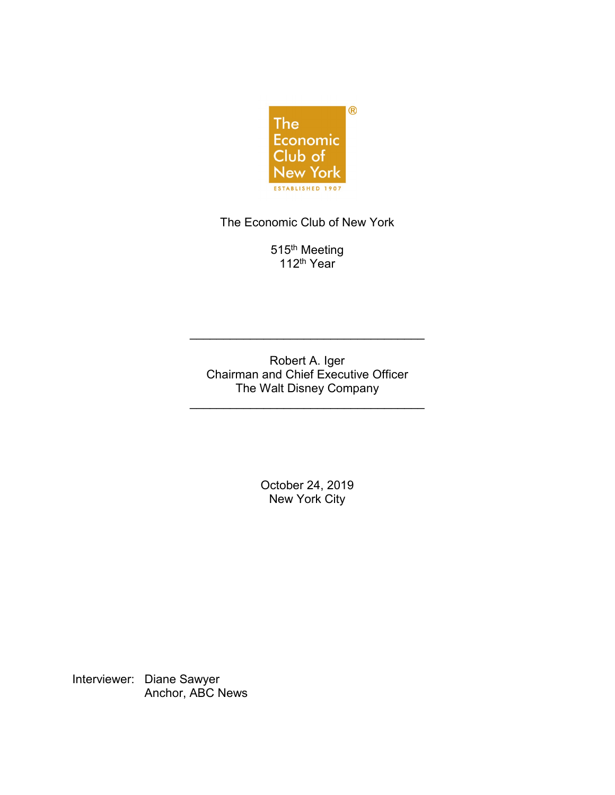

The Economic Club of New York

515<sup>th</sup> Meeting 112<sup>th</sup> Year

Robert A. Iger Chairman and Chief Executive Officer The Walt Disney Company

\_\_\_\_\_\_\_\_\_\_\_\_\_\_\_\_\_\_\_\_\_\_\_\_\_\_\_\_\_\_\_\_\_\_\_

\_\_\_\_\_\_\_\_\_\_\_\_\_\_\_\_\_\_\_\_\_\_\_\_\_\_\_\_\_\_\_\_\_\_\_

October 24, 2019 New York City

Interviewer: Diane Sawyer Anchor, ABC News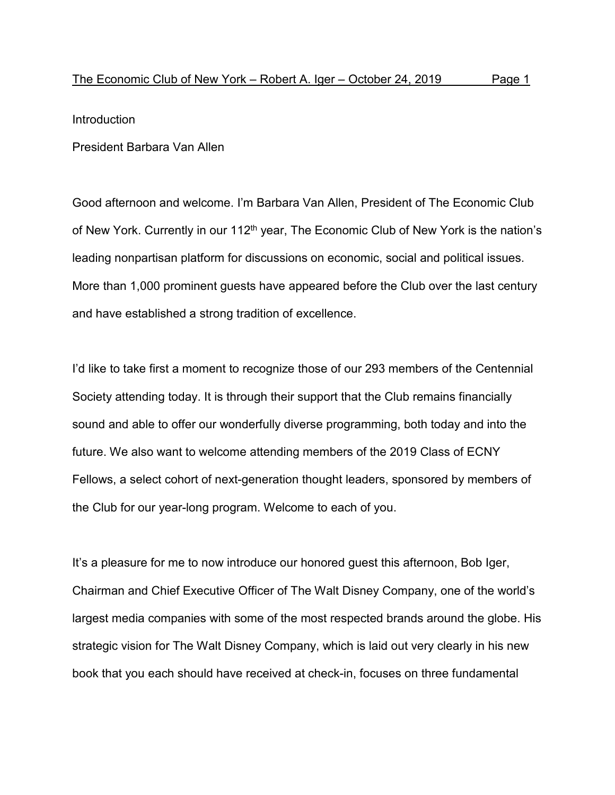Introduction

President Barbara Van Allen

Good afternoon and welcome. I'm Barbara Van Allen, President of The Economic Club of New York. Currently in our 112<sup>th</sup> year, The Economic Club of New York is the nation's leading nonpartisan platform for discussions on economic, social and political issues. More than 1,000 prominent guests have appeared before the Club over the last century and have established a strong tradition of excellence.

I'd like to take first a moment to recognize those of our 293 members of the Centennial Society attending today. It is through their support that the Club remains financially sound and able to offer our wonderfully diverse programming, both today and into the future. We also want to welcome attending members of the 2019 Class of ECNY Fellows, a select cohort of next-generation thought leaders, sponsored by members of the Club for our year-long program. Welcome to each of you.

It's a pleasure for me to now introduce our honored guest this afternoon, Bob Iger, Chairman and Chief Executive Officer of The Walt Disney Company, one of the world's largest media companies with some of the most respected brands around the globe. His strategic vision for The Walt Disney Company, which is laid out very clearly in his new book that you each should have received at check-in, focuses on three fundamental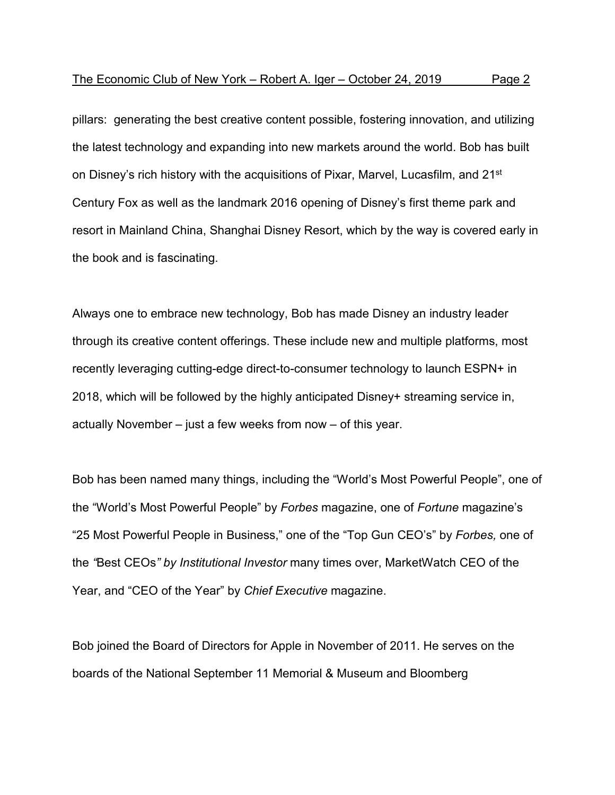pillars: generating the best creative content possible, fostering innovation, and utilizing the latest technology and expanding into new markets around the world. Bob has built on Disney's rich history with the acquisitions of Pixar, Marvel, Lucasfilm, and 21<sup>st</sup> Century Fox as well as the landmark 2016 opening of Disney's first theme park and resort in Mainland China, Shanghai Disney Resort, which by the way is covered early in the book and is fascinating.

Always one to embrace new technology, Bob has made Disney an industry leader through its creative content offerings. These include new and multiple platforms, most recently leveraging cutting-edge direct-to-consumer technology to launch ESPN+ in 2018, which will be followed by the highly anticipated Disney+ streaming service in, actually November – just a few weeks from now – of this year.

Bob has been named many things, including the "World's Most Powerful People", one of the "World's Most Powerful People" by *Forbes* magazine, one of *Fortune* magazine's "25 Most Powerful People in Business," one of the "Top Gun CEO's" by *Forbes,* one of the *"*Best CEOs*" by Institutional Investor* many times over, MarketWatch CEO of the Year, and "CEO of the Year" by *Chief Executive* magazine.

Bob joined the Board of Directors for Apple in November of 2011. He serves on the boards of the National September 11 Memorial & Museum and Bloomberg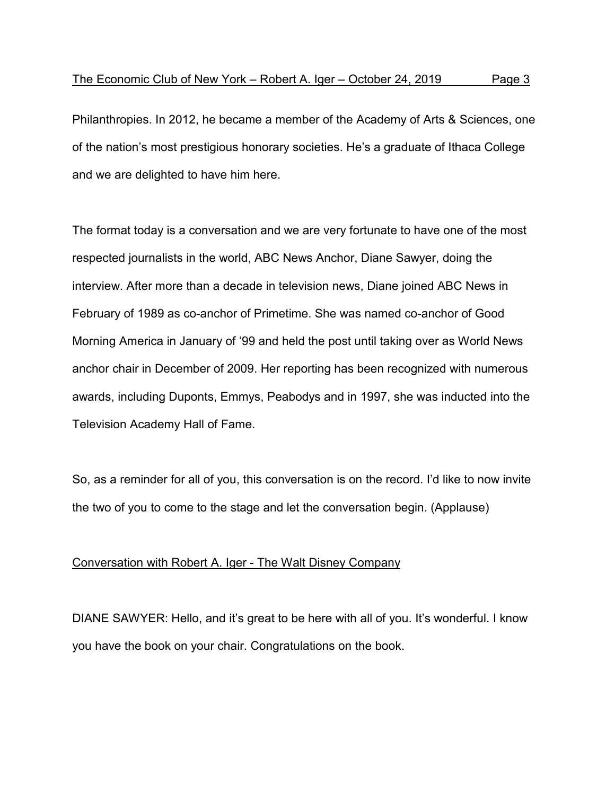Philanthropies. In 2012, he became a member of the Academy of Arts & Sciences, one of the nation's most prestigious honorary societies. He's a graduate of Ithaca College and we are delighted to have him here.

The format today is a conversation and we are very fortunate to have one of the most respected journalists in the world, ABC News Anchor, Diane Sawyer, doing the interview. After more than a decade in television news, Diane joined ABC News in February of 1989 as co-anchor of Primetime. She was named co-anchor of Good Morning America in January of '99 and held the post until taking over as World News anchor chair in December of 2009. Her reporting has been recognized with numerous awards, including Duponts, Emmys, Peabodys and in 1997, she was inducted into the Television Academy Hall of Fame.

So, as a reminder for all of you, this conversation is on the record. I'd like to now invite the two of you to come to the stage and let the conversation begin. (Applause)

## Conversation with Robert A. Iger - The Walt Disney Company

DIANE SAWYER: Hello, and it's great to be here with all of you. It's wonderful. I know you have the book on your chair. Congratulations on the book.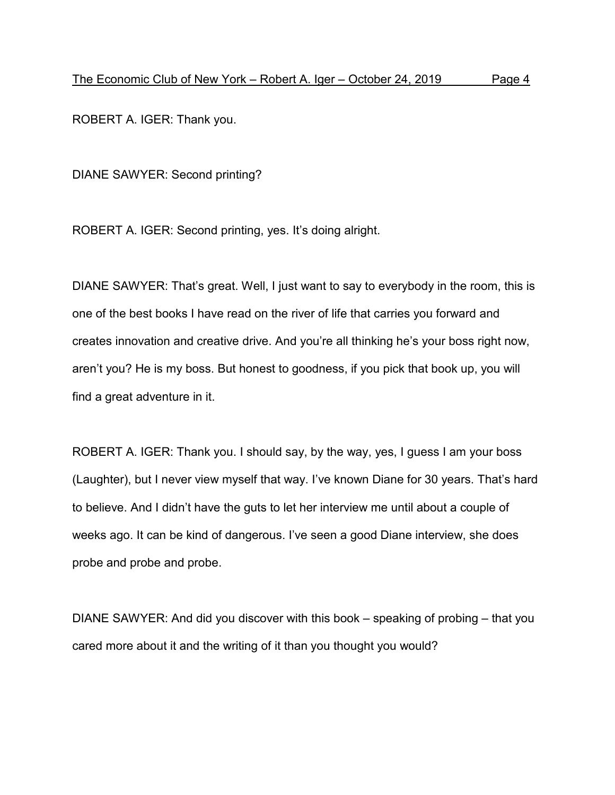ROBERT A. IGER: Thank you.

DIANE SAWYER: Second printing?

ROBERT A. IGER: Second printing, yes. It's doing alright.

DIANE SAWYER: That's great. Well, I just want to say to everybody in the room, this is one of the best books I have read on the river of life that carries you forward and creates innovation and creative drive. And you're all thinking he's your boss right now, aren't you? He is my boss. But honest to goodness, if you pick that book up, you will find a great adventure in it.

ROBERT A. IGER: Thank you. I should say, by the way, yes, I guess I am your boss (Laughter), but I never view myself that way. I've known Diane for 30 years. That's hard to believe. And I didn't have the guts to let her interview me until about a couple of weeks ago. It can be kind of dangerous. I've seen a good Diane interview, she does probe and probe and probe.

DIANE SAWYER: And did you discover with this book – speaking of probing – that you cared more about it and the writing of it than you thought you would?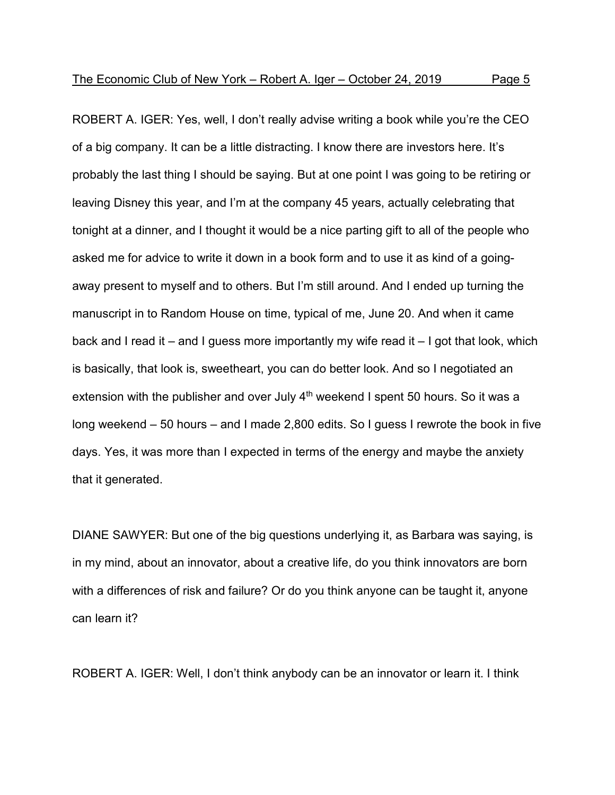ROBERT A. IGER: Yes, well, I don't really advise writing a book while you're the CEO of a big company. It can be a little distracting. I know there are investors here. It's probably the last thing I should be saying. But at one point I was going to be retiring or leaving Disney this year, and I'm at the company 45 years, actually celebrating that tonight at a dinner, and I thought it would be a nice parting gift to all of the people who asked me for advice to write it down in a book form and to use it as kind of a goingaway present to myself and to others. But I'm still around. And I ended up turning the manuscript in to Random House on time, typical of me, June 20. And when it came back and I read it – and I guess more importantly my wife read it  $-1$  got that look, which is basically, that look is, sweetheart, you can do better look. And so I negotiated an extension with the publisher and over July  $4<sup>th</sup>$  weekend I spent 50 hours. So it was a long weekend – 50 hours – and I made 2,800 edits. So I guess I rewrote the book in five days. Yes, it was more than I expected in terms of the energy and maybe the anxiety that it generated.

DIANE SAWYER: But one of the big questions underlying it, as Barbara was saying, is in my mind, about an innovator, about a creative life, do you think innovators are born with a differences of risk and failure? Or do you think anyone can be taught it, anyone can learn it?

ROBERT A. IGER: Well, I don't think anybody can be an innovator or learn it. I think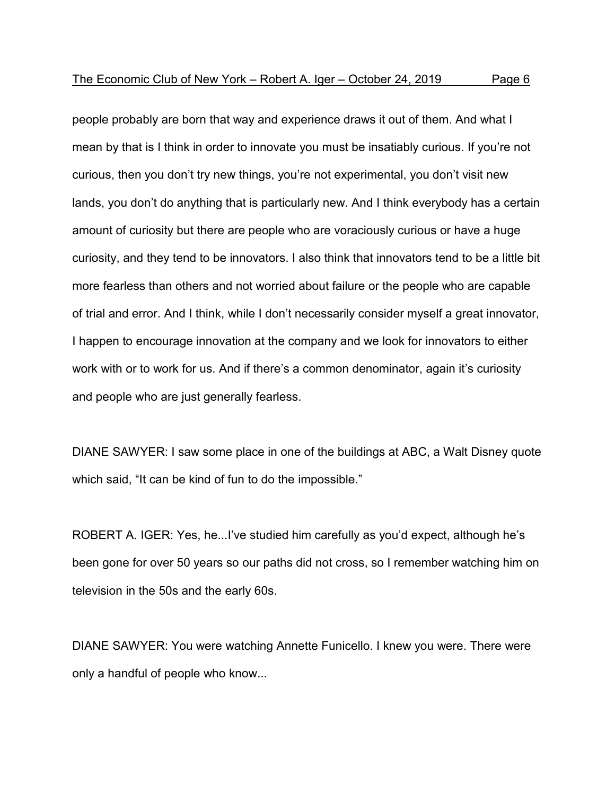people probably are born that way and experience draws it out of them. And what I mean by that is I think in order to innovate you must be insatiably curious. If you're not curious, then you don't try new things, you're not experimental, you don't visit new lands, you don't do anything that is particularly new. And I think everybody has a certain amount of curiosity but there are people who are voraciously curious or have a huge curiosity, and they tend to be innovators. I also think that innovators tend to be a little bit more fearless than others and not worried about failure or the people who are capable of trial and error. And I think, while I don't necessarily consider myself a great innovator, I happen to encourage innovation at the company and we look for innovators to either work with or to work for us. And if there's a common denominator, again it's curiosity and people who are just generally fearless.

DIANE SAWYER: I saw some place in one of the buildings at ABC, a Walt Disney quote which said, "It can be kind of fun to do the impossible."

ROBERT A. IGER: Yes, he...I've studied him carefully as you'd expect, although he's been gone for over 50 years so our paths did not cross, so I remember watching him on television in the 50s and the early 60s.

DIANE SAWYER: You were watching Annette Funicello. I knew you were. There were only a handful of people who know...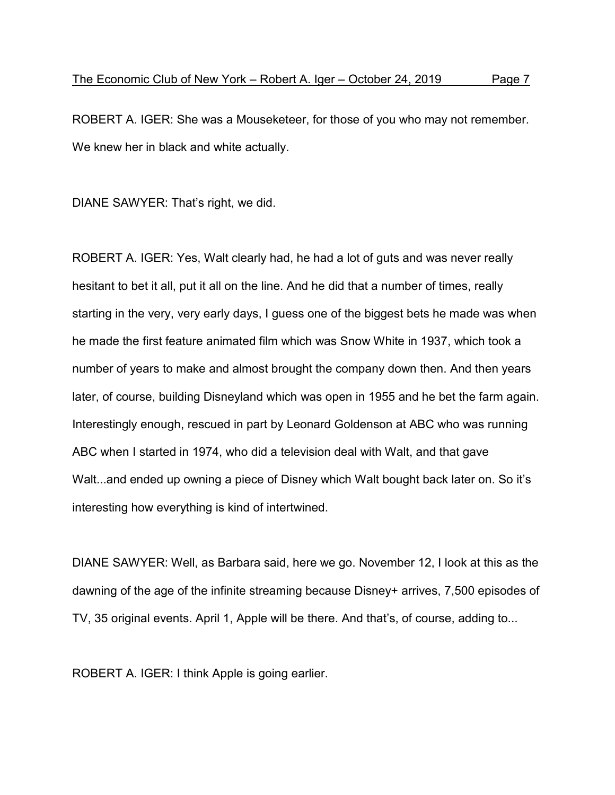ROBERT A. IGER: She was a Mouseketeer, for those of you who may not remember. We knew her in black and white actually.

DIANE SAWYER: That's right, we did.

ROBERT A. IGER: Yes, Walt clearly had, he had a lot of guts and was never really hesitant to bet it all, put it all on the line. And he did that a number of times, really starting in the very, very early days, I guess one of the biggest bets he made was when he made the first feature animated film which was Snow White in 1937, which took a number of years to make and almost brought the company down then. And then years later, of course, building Disneyland which was open in 1955 and he bet the farm again. Interestingly enough, rescued in part by Leonard Goldenson at ABC who was running ABC when I started in 1974, who did a television deal with Walt, and that gave Walt...and ended up owning a piece of Disney which Walt bought back later on. So it's interesting how everything is kind of intertwined.

DIANE SAWYER: Well, as Barbara said, here we go. November 12, I look at this as the dawning of the age of the infinite streaming because Disney+ arrives, 7,500 episodes of TV, 35 original events. April 1, Apple will be there. And that's, of course, adding to...

ROBERT A. IGER: I think Apple is going earlier.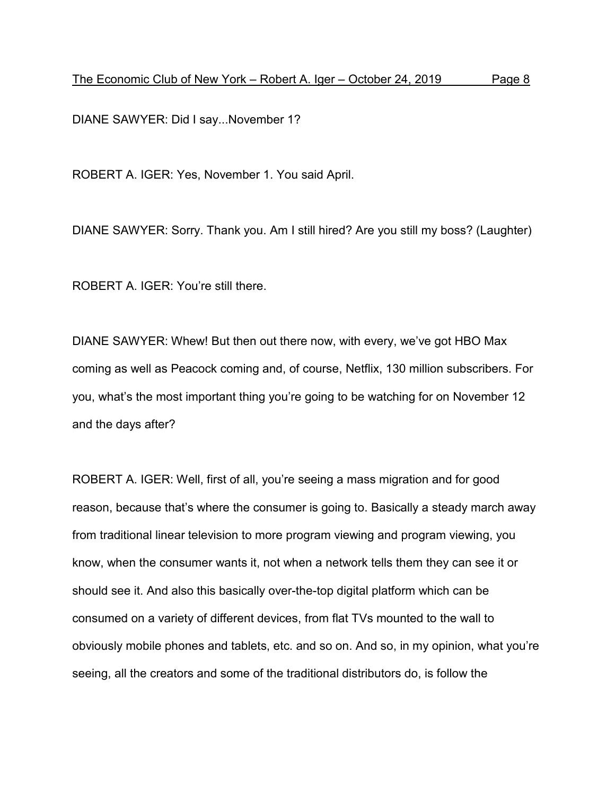DIANE SAWYER: Did I say...November 1?

ROBERT A. IGER: Yes, November 1. You said April.

DIANE SAWYER: Sorry. Thank you. Am I still hired? Are you still my boss? (Laughter)

ROBERT A. IGER: You're still there.

DIANE SAWYER: Whew! But then out there now, with every, we've got HBO Max coming as well as Peacock coming and, of course, Netflix, 130 million subscribers. For you, what's the most important thing you're going to be watching for on November 12 and the days after?

ROBERT A. IGER: Well, first of all, you're seeing a mass migration and for good reason, because that's where the consumer is going to. Basically a steady march away from traditional linear television to more program viewing and program viewing, you know, when the consumer wants it, not when a network tells them they can see it or should see it. And also this basically over-the-top digital platform which can be consumed on a variety of different devices, from flat TVs mounted to the wall to obviously mobile phones and tablets, etc. and so on. And so, in my opinion, what you're seeing, all the creators and some of the traditional distributors do, is follow the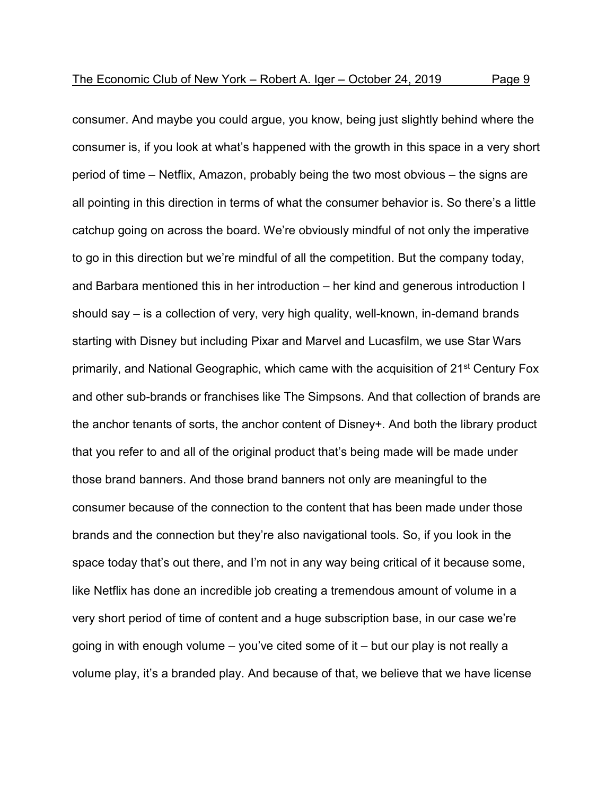consumer. And maybe you could argue, you know, being just slightly behind where the consumer is, if you look at what's happened with the growth in this space in a very short period of time – Netflix, Amazon, probably being the two most obvious – the signs are all pointing in this direction in terms of what the consumer behavior is. So there's a little catchup going on across the board. We're obviously mindful of not only the imperative to go in this direction but we're mindful of all the competition. But the company today, and Barbara mentioned this in her introduction – her kind and generous introduction I should say – is a collection of very, very high quality, well-known, in-demand brands starting with Disney but including Pixar and Marvel and Lucasfilm, we use Star Wars primarily, and National Geographic, which came with the acquisition of 21<sup>st</sup> Century Fox and other sub-brands or franchises like The Simpsons. And that collection of brands are the anchor tenants of sorts, the anchor content of Disney+. And both the library product that you refer to and all of the original product that's being made will be made under those brand banners. And those brand banners not only are meaningful to the consumer because of the connection to the content that has been made under those brands and the connection but they're also navigational tools. So, if you look in the space today that's out there, and I'm not in any way being critical of it because some, like Netflix has done an incredible job creating a tremendous amount of volume in a very short period of time of content and a huge subscription base, in our case we're going in with enough volume – you've cited some of it – but our play is not really a volume play, it's a branded play. And because of that, we believe that we have license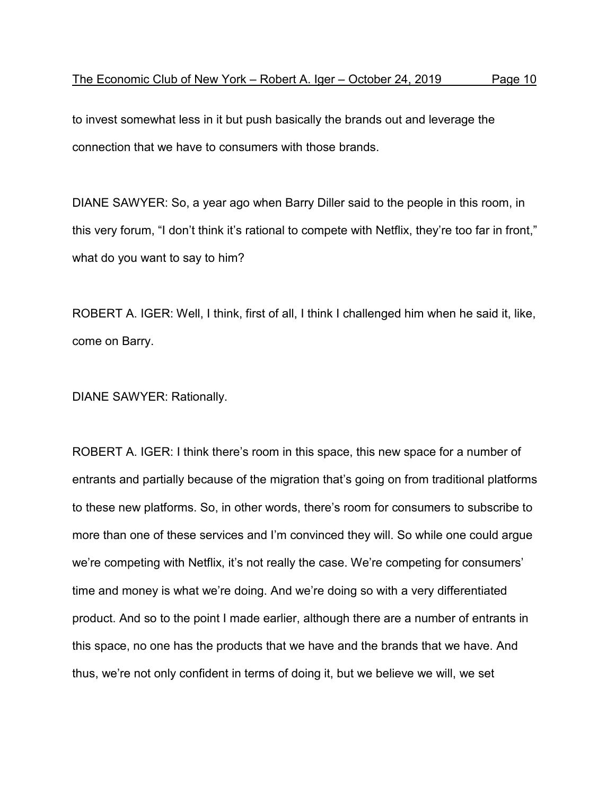to invest somewhat less in it but push basically the brands out and leverage the connection that we have to consumers with those brands.

DIANE SAWYER: So, a year ago when Barry Diller said to the people in this room, in this very forum, "I don't think it's rational to compete with Netflix, they're too far in front," what do you want to say to him?

ROBERT A. IGER: Well, I think, first of all, I think I challenged him when he said it, like, come on Barry.

DIANE SAWYER: Rationally.

ROBERT A. IGER: I think there's room in this space, this new space for a number of entrants and partially because of the migration that's going on from traditional platforms to these new platforms. So, in other words, there's room for consumers to subscribe to more than one of these services and I'm convinced they will. So while one could argue we're competing with Netflix, it's not really the case. We're competing for consumers' time and money is what we're doing. And we're doing so with a very differentiated product. And so to the point I made earlier, although there are a number of entrants in this space, no one has the products that we have and the brands that we have. And thus, we're not only confident in terms of doing it, but we believe we will, we set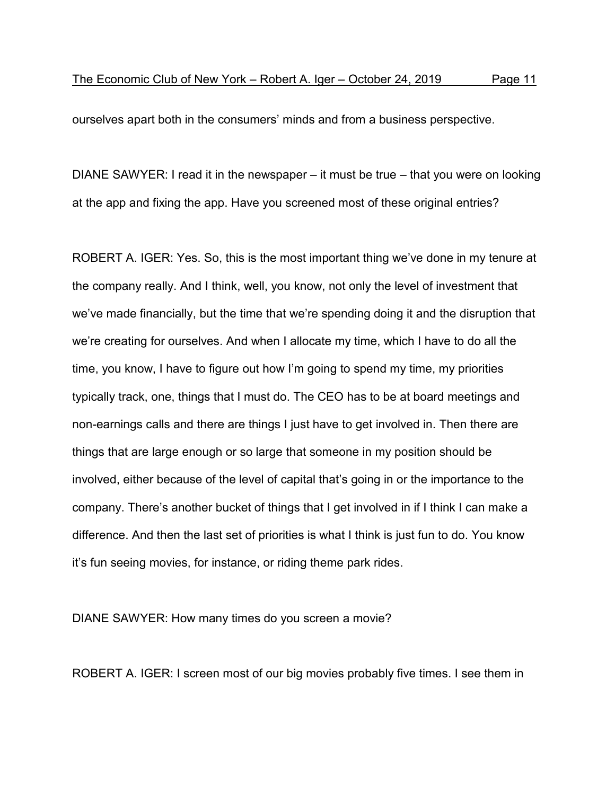ourselves apart both in the consumers' minds and from a business perspective.

DIANE SAWYER: I read it in the newspaper – it must be true – that you were on looking at the app and fixing the app. Have you screened most of these original entries?

ROBERT A. IGER: Yes. So, this is the most important thing we've done in my tenure at the company really. And I think, well, you know, not only the level of investment that we've made financially, but the time that we're spending doing it and the disruption that we're creating for ourselves. And when I allocate my time, which I have to do all the time, you know, I have to figure out how I'm going to spend my time, my priorities typically track, one, things that I must do. The CEO has to be at board meetings and non-earnings calls and there are things I just have to get involved in. Then there are things that are large enough or so large that someone in my position should be involved, either because of the level of capital that's going in or the importance to the company. There's another bucket of things that I get involved in if I think I can make a difference. And then the last set of priorities is what I think is just fun to do. You know it's fun seeing movies, for instance, or riding theme park rides.

DIANE SAWYER: How many times do you screen a movie?

ROBERT A. IGER: I screen most of our big movies probably five times. I see them in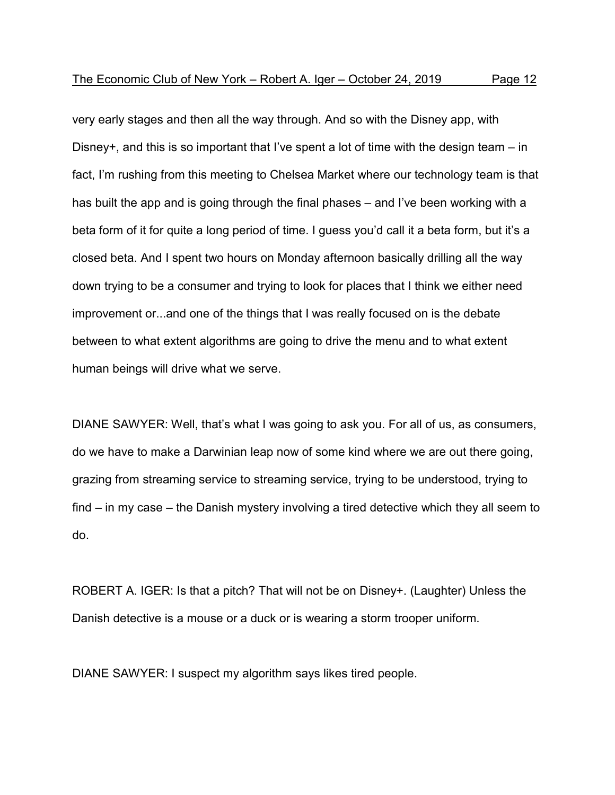very early stages and then all the way through. And so with the Disney app, with Disney+, and this is so important that I've spent a lot of time with the design team – in fact, I'm rushing from this meeting to Chelsea Market where our technology team is that has built the app and is going through the final phases – and I've been working with a beta form of it for quite a long period of time. I guess you'd call it a beta form, but it's a closed beta. And I spent two hours on Monday afternoon basically drilling all the way down trying to be a consumer and trying to look for places that I think we either need improvement or...and one of the things that I was really focused on is the debate between to what extent algorithms are going to drive the menu and to what extent human beings will drive what we serve.

DIANE SAWYER: Well, that's what I was going to ask you. For all of us, as consumers, do we have to make a Darwinian leap now of some kind where we are out there going, grazing from streaming service to streaming service, trying to be understood, trying to find – in my case – the Danish mystery involving a tired detective which they all seem to do.

ROBERT A. IGER: Is that a pitch? That will not be on Disney+. (Laughter) Unless the Danish detective is a mouse or a duck or is wearing a storm trooper uniform.

DIANE SAWYER: I suspect my algorithm says likes tired people.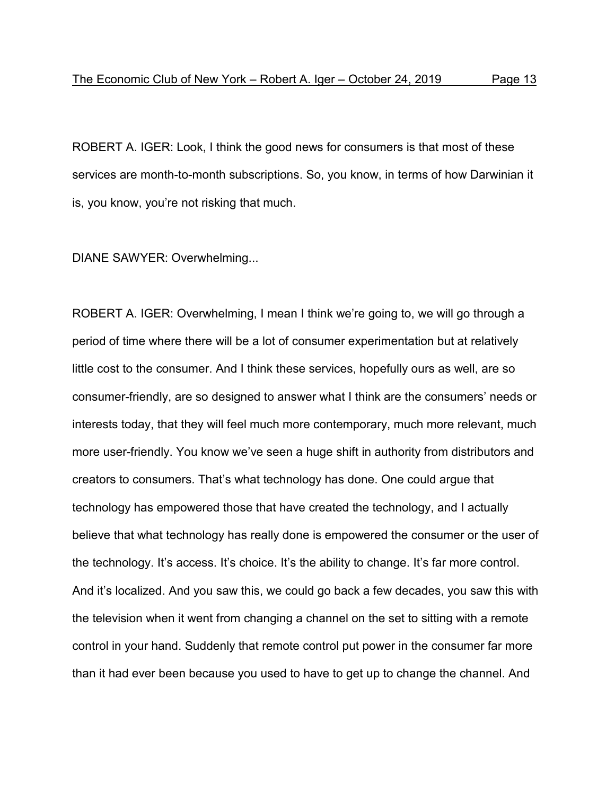ROBERT A. IGER: Look, I think the good news for consumers is that most of these services are month-to-month subscriptions. So, you know, in terms of how Darwinian it is, you know, you're not risking that much.

DIANE SAWYER: Overwhelming...

ROBERT A. IGER: Overwhelming, I mean I think we're going to, we will go through a period of time where there will be a lot of consumer experimentation but at relatively little cost to the consumer. And I think these services, hopefully ours as well, are so consumer-friendly, are so designed to answer what I think are the consumers' needs or interests today, that they will feel much more contemporary, much more relevant, much more user-friendly. You know we've seen a huge shift in authority from distributors and creators to consumers. That's what technology has done. One could argue that technology has empowered those that have created the technology, and I actually believe that what technology has really done is empowered the consumer or the user of the technology. It's access. It's choice. It's the ability to change. It's far more control. And it's localized. And you saw this, we could go back a few decades, you saw this with the television when it went from changing a channel on the set to sitting with a remote control in your hand. Suddenly that remote control put power in the consumer far more than it had ever been because you used to have to get up to change the channel. And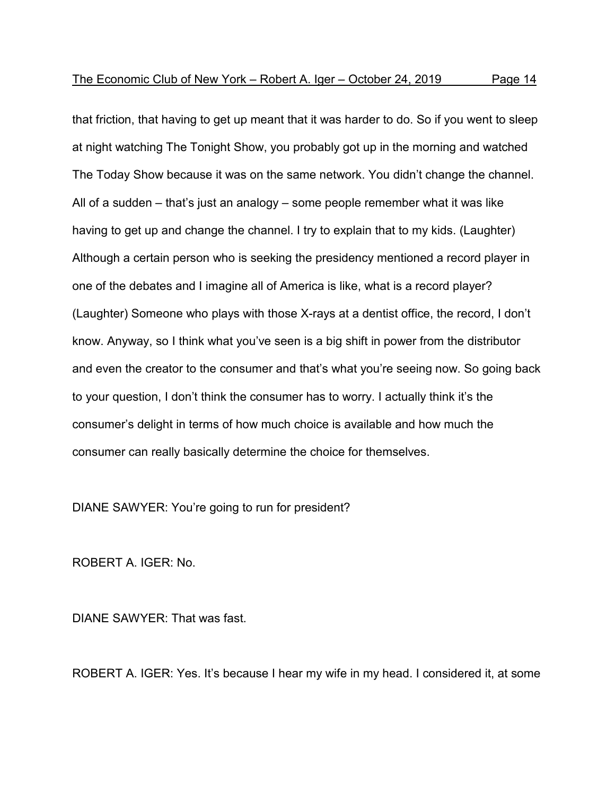that friction, that having to get up meant that it was harder to do. So if you went to sleep at night watching The Tonight Show, you probably got up in the morning and watched The Today Show because it was on the same network. You didn't change the channel. All of a sudden – that's just an analogy – some people remember what it was like having to get up and change the channel. I try to explain that to my kids. (Laughter) Although a certain person who is seeking the presidency mentioned a record player in one of the debates and I imagine all of America is like, what is a record player? (Laughter) Someone who plays with those X-rays at a dentist office, the record, I don't know. Anyway, so I think what you've seen is a big shift in power from the distributor and even the creator to the consumer and that's what you're seeing now. So going back to your question, I don't think the consumer has to worry. I actually think it's the consumer's delight in terms of how much choice is available and how much the consumer can really basically determine the choice for themselves.

DIANE SAWYER: You're going to run for president?

ROBERT A. IGER: No.

DIANE SAWYER: That was fast.

ROBERT A. IGER: Yes. It's because I hear my wife in my head. I considered it, at some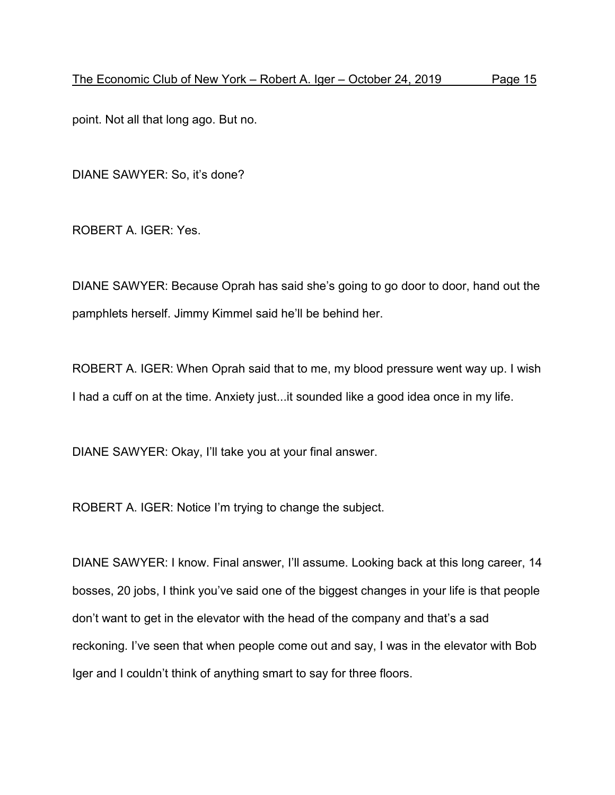point. Not all that long ago. But no.

DIANE SAWYER: So, it's done?

ROBERT A. IGER: Yes.

DIANE SAWYER: Because Oprah has said she's going to go door to door, hand out the pamphlets herself. Jimmy Kimmel said he'll be behind her.

ROBERT A. IGER: When Oprah said that to me, my blood pressure went way up. I wish I had a cuff on at the time. Anxiety just...it sounded like a good idea once in my life.

DIANE SAWYER: Okay, I'll take you at your final answer.

ROBERT A. IGER: Notice I'm trying to change the subject.

DIANE SAWYER: I know. Final answer, I'll assume. Looking back at this long career, 14 bosses, 20 jobs, I think you've said one of the biggest changes in your life is that people don't want to get in the elevator with the head of the company and that's a sad reckoning. I've seen that when people come out and say, I was in the elevator with Bob Iger and I couldn't think of anything smart to say for three floors.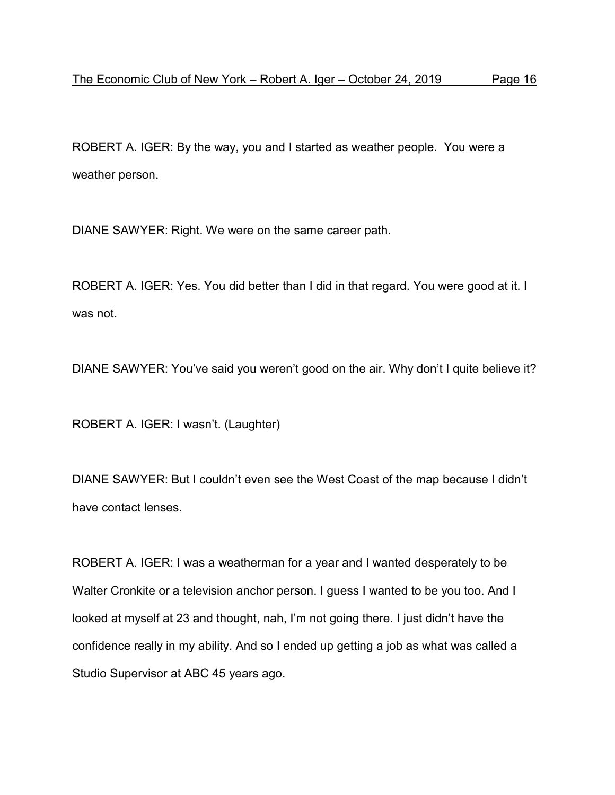ROBERT A. IGER: By the way, you and I started as weather people. You were a weather person.

DIANE SAWYER: Right. We were on the same career path.

ROBERT A. IGER: Yes. You did better than I did in that regard. You were good at it. I was not.

DIANE SAWYER: You've said you weren't good on the air. Why don't I quite believe it?

ROBERT A. IGER: I wasn't. (Laughter)

DIANE SAWYER: But I couldn't even see the West Coast of the map because I didn't have contact lenses.

ROBERT A. IGER: I was a weatherman for a year and I wanted desperately to be Walter Cronkite or a television anchor person. I guess I wanted to be you too. And I looked at myself at 23 and thought, nah, I'm not going there. I just didn't have the confidence really in my ability. And so I ended up getting a job as what was called a Studio Supervisor at ABC 45 years ago.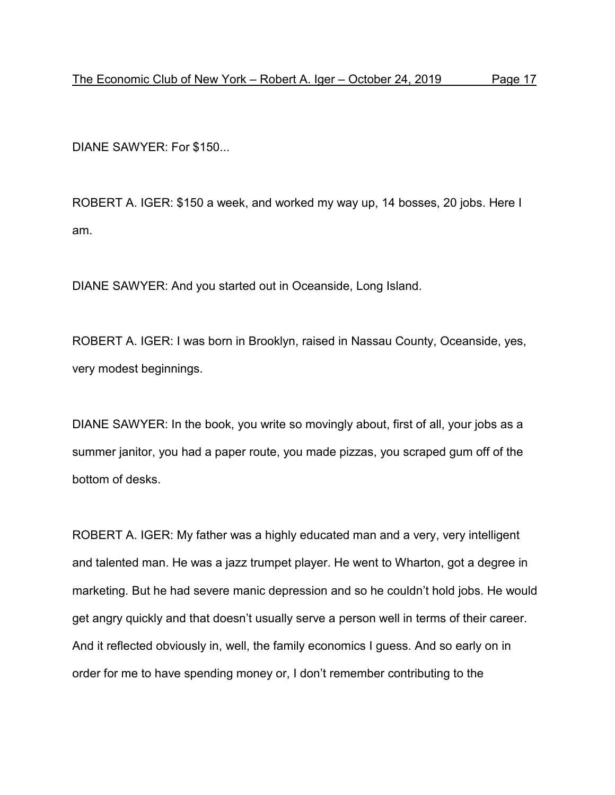DIANE SAWYER: For \$150...

ROBERT A. IGER: \$150 a week, and worked my way up, 14 bosses, 20 jobs. Here I am.

DIANE SAWYER: And you started out in Oceanside, Long Island.

ROBERT A. IGER: I was born in Brooklyn, raised in Nassau County, Oceanside, yes, very modest beginnings.

DIANE SAWYER: In the book, you write so movingly about, first of all, your jobs as a summer janitor, you had a paper route, you made pizzas, you scraped gum off of the bottom of desks.

ROBERT A. IGER: My father was a highly educated man and a very, very intelligent and talented man. He was a jazz trumpet player. He went to Wharton, got a degree in marketing. But he had severe manic depression and so he couldn't hold jobs. He would get angry quickly and that doesn't usually serve a person well in terms of their career. And it reflected obviously in, well, the family economics I guess. And so early on in order for me to have spending money or, I don't remember contributing to the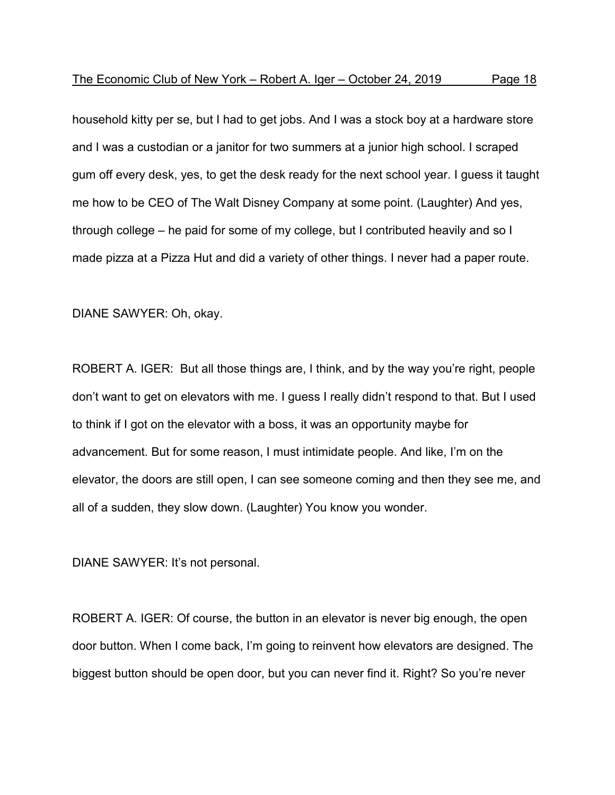household kitty per se, but I had to get jobs. And I was a stock boy at a hardware store and I was a custodian or a janitor for two summers at a junior high school. I scraped gum off every desk, yes, to get the desk ready for the next school year. I guess it taught me how to be CEO of The Walt Disney Company at some point. (Laughter) And yes, through college – he paid for some of my college, but I contributed heavily and so I made pizza at a Pizza Hut and did a variety of other things. I never had a paper route.

DIANE SAWYER: Oh, okay.

ROBERT A. IGER: But all those things are, I think, and by the way you're right, people don't want to get on elevators with me. I guess I really didn't respond to that. But I used to think if I got on the elevator with a boss, it was an opportunity maybe for advancement. But for some reason, I must intimidate people. And like, I'm on the elevator, the doors are still open, I can see someone coming and then they see me, and all of a sudden, they slow down. (Laughter) You know you wonder.

DIANE SAWYER: It's not personal.

ROBERT A. IGER: Of course, the button in an elevator is never big enough, the open door button. When I come back, I'm going to reinvent how elevators are designed. The biggest button should be open door, but you can never find it. Right? So you're never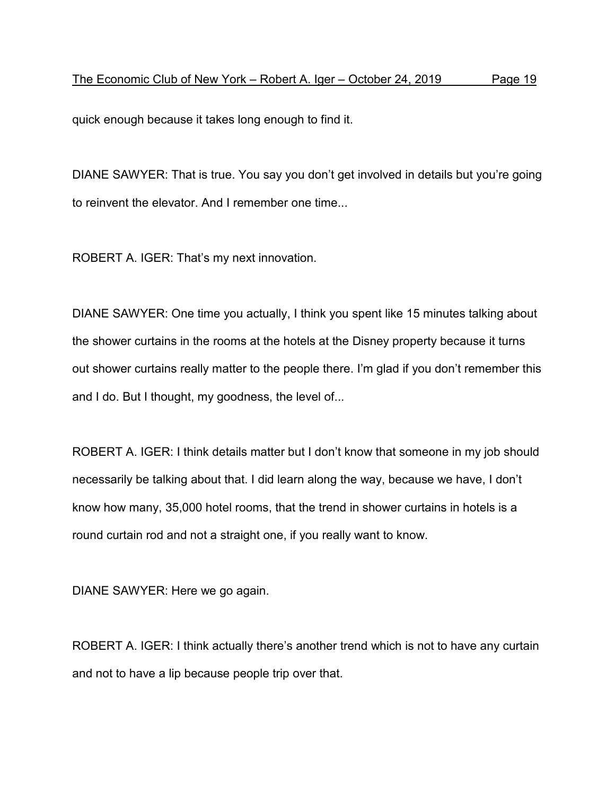quick enough because it takes long enough to find it.

DIANE SAWYER: That is true. You say you don't get involved in details but you're going to reinvent the elevator. And I remember one time...

ROBERT A. IGER: That's my next innovation.

DIANE SAWYER: One time you actually, I think you spent like 15 minutes talking about the shower curtains in the rooms at the hotels at the Disney property because it turns out shower curtains really matter to the people there. I'm glad if you don't remember this and I do. But I thought, my goodness, the level of...

ROBERT A. IGER: I think details matter but I don't know that someone in my job should necessarily be talking about that. I did learn along the way, because we have, I don't know how many, 35,000 hotel rooms, that the trend in shower curtains in hotels is a round curtain rod and not a straight one, if you really want to know.

DIANE SAWYER: Here we go again.

ROBERT A. IGER: I think actually there's another trend which is not to have any curtain and not to have a lip because people trip over that.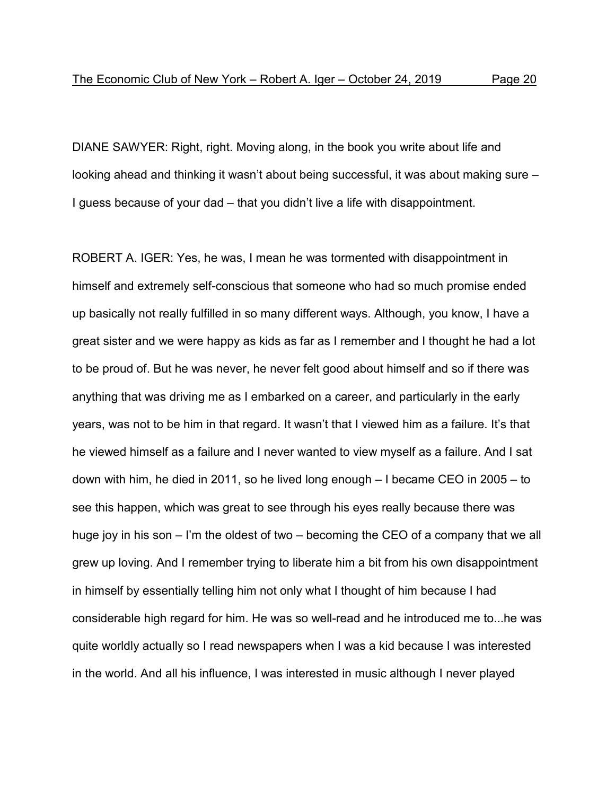DIANE SAWYER: Right, right. Moving along, in the book you write about life and looking ahead and thinking it wasn't about being successful, it was about making sure – I guess because of your dad – that you didn't live a life with disappointment.

ROBERT A. IGER: Yes, he was, I mean he was tormented with disappointment in himself and extremely self-conscious that someone who had so much promise ended up basically not really fulfilled in so many different ways. Although, you know, I have a great sister and we were happy as kids as far as I remember and I thought he had a lot to be proud of. But he was never, he never felt good about himself and so if there was anything that was driving me as I embarked on a career, and particularly in the early years, was not to be him in that regard. It wasn't that I viewed him as a failure. It's that he viewed himself as a failure and I never wanted to view myself as a failure. And I sat down with him, he died in 2011, so he lived long enough – I became CEO in 2005 – to see this happen, which was great to see through his eyes really because there was huge joy in his son – I'm the oldest of two – becoming the CEO of a company that we all grew up loving. And I remember trying to liberate him a bit from his own disappointment in himself by essentially telling him not only what I thought of him because I had considerable high regard for him. He was so well-read and he introduced me to...he was quite worldly actually so I read newspapers when I was a kid because I was interested in the world. And all his influence, I was interested in music although I never played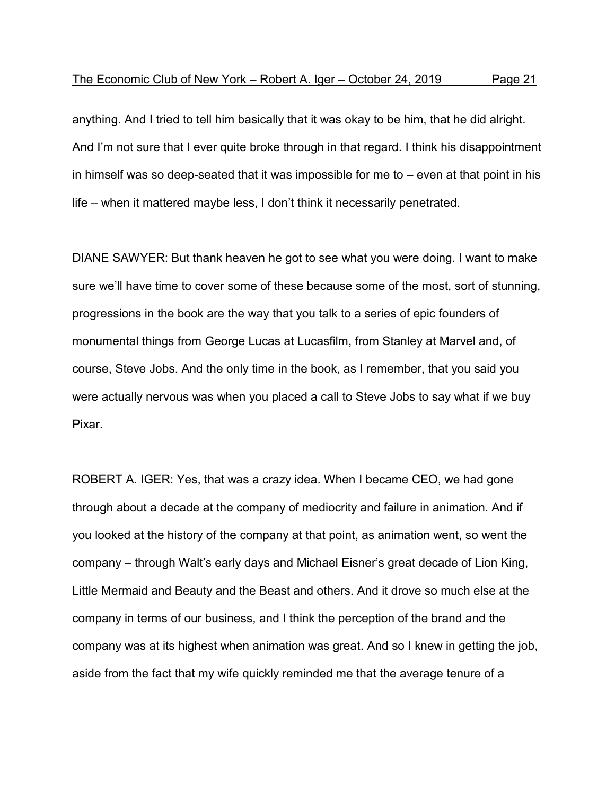anything. And I tried to tell him basically that it was okay to be him, that he did alright. And I'm not sure that I ever quite broke through in that regard. I think his disappointment in himself was so deep-seated that it was impossible for me to – even at that point in his life – when it mattered maybe less, I don't think it necessarily penetrated.

DIANE SAWYER: But thank heaven he got to see what you were doing. I want to make sure we'll have time to cover some of these because some of the most, sort of stunning, progressions in the book are the way that you talk to a series of epic founders of monumental things from George Lucas at Lucasfilm, from Stanley at Marvel and, of course, Steve Jobs. And the only time in the book, as I remember, that you said you were actually nervous was when you placed a call to Steve Jobs to say what if we buy Pixar.

ROBERT A. IGER: Yes, that was a crazy idea. When I became CEO, we had gone through about a decade at the company of mediocrity and failure in animation. And if you looked at the history of the company at that point, as animation went, so went the company – through Walt's early days and Michael Eisner's great decade of Lion King, Little Mermaid and Beauty and the Beast and others. And it drove so much else at the company in terms of our business, and I think the perception of the brand and the company was at its highest when animation was great. And so I knew in getting the job, aside from the fact that my wife quickly reminded me that the average tenure of a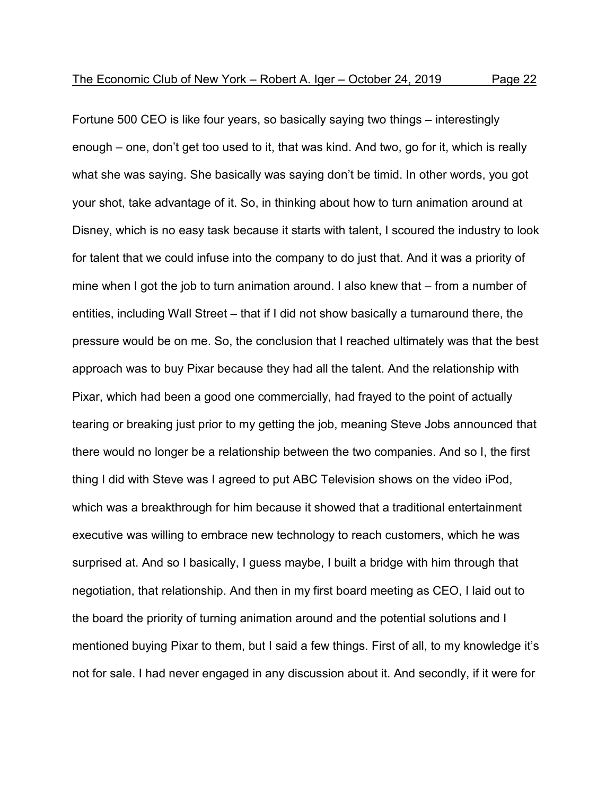Fortune 500 CEO is like four years, so basically saying two things – interestingly enough – one, don't get too used to it, that was kind. And two, go for it, which is really what she was saying. She basically was saying don't be timid. In other words, you got your shot, take advantage of it. So, in thinking about how to turn animation around at Disney, which is no easy task because it starts with talent, I scoured the industry to look for talent that we could infuse into the company to do just that. And it was a priority of mine when I got the job to turn animation around. I also knew that – from a number of entities, including Wall Street – that if I did not show basically a turnaround there, the pressure would be on me. So, the conclusion that I reached ultimately was that the best approach was to buy Pixar because they had all the talent. And the relationship with Pixar, which had been a good one commercially, had frayed to the point of actually tearing or breaking just prior to my getting the job, meaning Steve Jobs announced that there would no longer be a relationship between the two companies. And so I, the first thing I did with Steve was I agreed to put ABC Television shows on the video iPod, which was a breakthrough for him because it showed that a traditional entertainment executive was willing to embrace new technology to reach customers, which he was surprised at. And so I basically, I guess maybe, I built a bridge with him through that negotiation, that relationship. And then in my first board meeting as CEO, I laid out to the board the priority of turning animation around and the potential solutions and I mentioned buying Pixar to them, but I said a few things. First of all, to my knowledge it's not for sale. I had never engaged in any discussion about it. And secondly, if it were for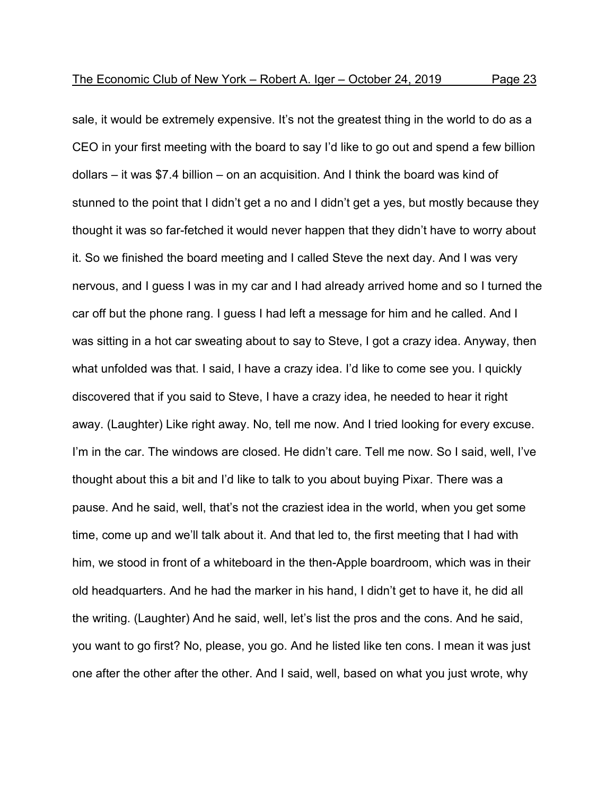sale, it would be extremely expensive. It's not the greatest thing in the world to do as a CEO in your first meeting with the board to say I'd like to go out and spend a few billion dollars – it was \$7.4 billion – on an acquisition. And I think the board was kind of stunned to the point that I didn't get a no and I didn't get a yes, but mostly because they thought it was so far-fetched it would never happen that they didn't have to worry about it. So we finished the board meeting and I called Steve the next day. And I was very nervous, and I guess I was in my car and I had already arrived home and so I turned the car off but the phone rang. I guess I had left a message for him and he called. And I was sitting in a hot car sweating about to say to Steve, I got a crazy idea. Anyway, then what unfolded was that. I said, I have a crazy idea. I'd like to come see you. I quickly discovered that if you said to Steve, I have a crazy idea, he needed to hear it right away. (Laughter) Like right away. No, tell me now. And I tried looking for every excuse. I'm in the car. The windows are closed. He didn't care. Tell me now. So I said, well, I've thought about this a bit and I'd like to talk to you about buying Pixar. There was a pause. And he said, well, that's not the craziest idea in the world, when you get some time, come up and we'll talk about it. And that led to, the first meeting that I had with him, we stood in front of a whiteboard in the then-Apple boardroom, which was in their old headquarters. And he had the marker in his hand, I didn't get to have it, he did all the writing. (Laughter) And he said, well, let's list the pros and the cons. And he said, you want to go first? No, please, you go. And he listed like ten cons. I mean it was just one after the other after the other. And I said, well, based on what you just wrote, why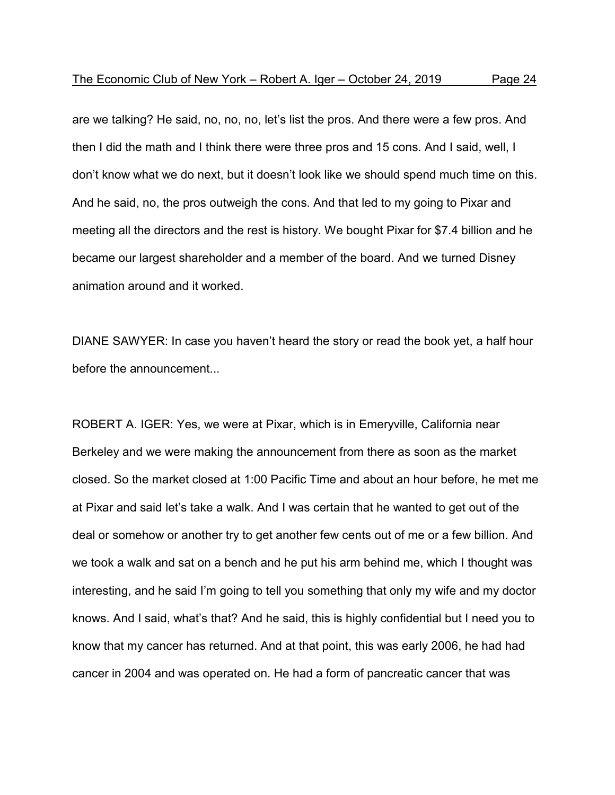are we talking? He said, no, no, no, let's list the pros. And there were a few pros. And then I did the math and I think there were three pros and 15 cons. And I said, well, I don't know what we do next, but it doesn't look like we should spend much time on this. And he said, no, the pros outweigh the cons. And that led to my going to Pixar and meeting all the directors and the rest is history. We bought Pixar for \$7.4 billion and he became our largest shareholder and a member of the board. And we turned Disney animation around and it worked.

DIANE SAWYER: In case you haven't heard the story or read the book yet, a half hour before the announcement...

ROBERT A. IGER: Yes, we were at Pixar, which is in Emeryville, California near Berkeley and we were making the announcement from there as soon as the market closed. So the market closed at 1:00 Pacific Time and about an hour before, he met me at Pixar and said let's take a walk. And I was certain that he wanted to get out of the deal or somehow or another try to get another few cents out of me or a few billion. And we took a walk and sat on a bench and he put his arm behind me, which I thought was interesting, and he said I'm going to tell you something that only my wife and my doctor knows. And I said, what's that? And he said, this is highly confidential but I need you to know that my cancer has returned. And at that point, this was early 2006, he had had cancer in 2004 and was operated on. He had a form of pancreatic cancer that was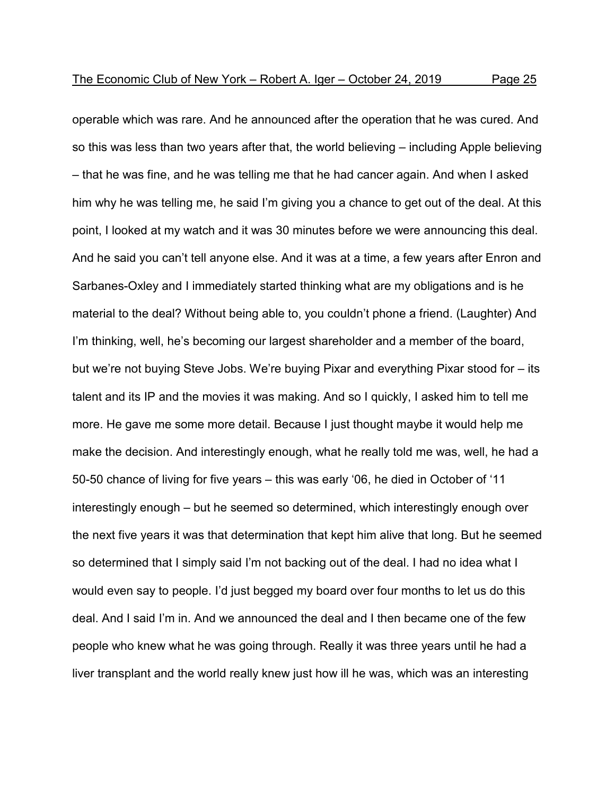operable which was rare. And he announced after the operation that he was cured. And so this was less than two years after that, the world believing – including Apple believing – that he was fine, and he was telling me that he had cancer again. And when I asked him why he was telling me, he said I'm giving you a chance to get out of the deal. At this point, I looked at my watch and it was 30 minutes before we were announcing this deal. And he said you can't tell anyone else. And it was at a time, a few years after Enron and Sarbanes-Oxley and I immediately started thinking what are my obligations and is he material to the deal? Without being able to, you couldn't phone a friend. (Laughter) And I'm thinking, well, he's becoming our largest shareholder and a member of the board, but we're not buying Steve Jobs. We're buying Pixar and everything Pixar stood for – its talent and its IP and the movies it was making. And so I quickly, I asked him to tell me more. He gave me some more detail. Because I just thought maybe it would help me make the decision. And interestingly enough, what he really told me was, well, he had a 50-50 chance of living for five years – this was early '06, he died in October of '11 interestingly enough – but he seemed so determined, which interestingly enough over the next five years it was that determination that kept him alive that long. But he seemed so determined that I simply said I'm not backing out of the deal. I had no idea what I would even say to people. I'd just begged my board over four months to let us do this deal. And I said I'm in. And we announced the deal and I then became one of the few people who knew what he was going through. Really it was three years until he had a liver transplant and the world really knew just how ill he was, which was an interesting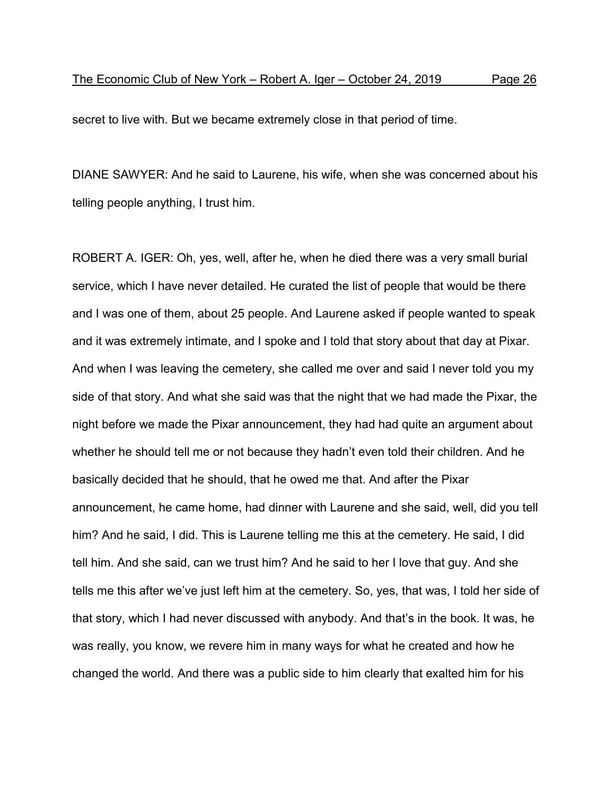secret to live with. But we became extremely close in that period of time.

DIANE SAWYER: And he said to Laurene, his wife, when she was concerned about his telling people anything, I trust him.

ROBERT A. IGER: Oh, yes, well, after he, when he died there was a very small burial service, which I have never detailed. He curated the list of people that would be there and I was one of them, about 25 people. And Laurene asked if people wanted to speak and it was extremely intimate, and I spoke and I told that story about that day at Pixar. And when I was leaving the cemetery, she called me over and said I never told you my side of that story. And what she said was that the night that we had made the Pixar, the night before we made the Pixar announcement, they had had quite an argument about whether he should tell me or not because they hadn't even told their children. And he basically decided that he should, that he owed me that. And after the Pixar announcement, he came home, had dinner with Laurene and she said, well, did you tell him? And he said, I did. This is Laurene telling me this at the cemetery. He said, I did tell him. And she said, can we trust him? And he said to her I love that guy. And she tells me this after we've just left him at the cemetery. So, yes, that was, I told her side of that story, which I had never discussed with anybody. And that's in the book. It was, he was really, you know, we revere him in many ways for what he created and how he changed the world. And there was a public side to him clearly that exalted him for his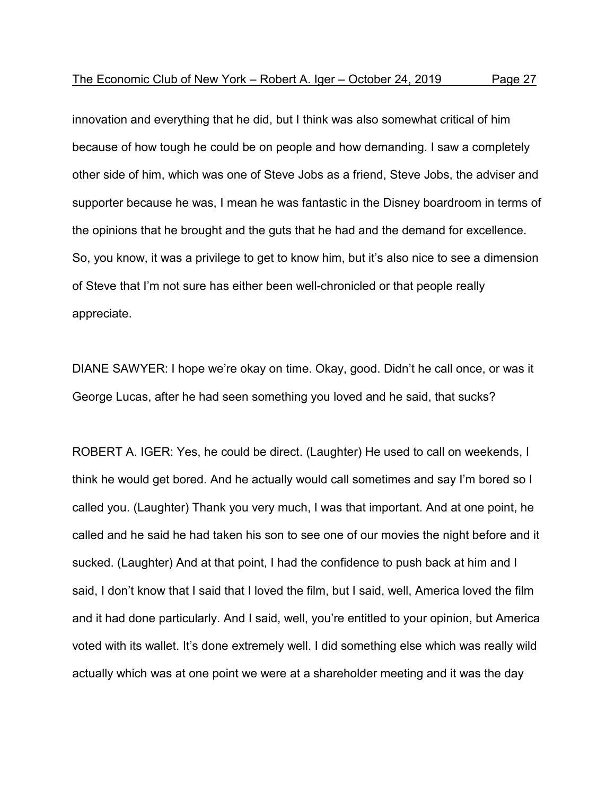innovation and everything that he did, but I think was also somewhat critical of him because of how tough he could be on people and how demanding. I saw a completely other side of him, which was one of Steve Jobs as a friend, Steve Jobs, the adviser and supporter because he was, I mean he was fantastic in the Disney boardroom in terms of the opinions that he brought and the guts that he had and the demand for excellence. So, you know, it was a privilege to get to know him, but it's also nice to see a dimension of Steve that I'm not sure has either been well-chronicled or that people really appreciate.

DIANE SAWYER: I hope we're okay on time. Okay, good. Didn't he call once, or was it George Lucas, after he had seen something you loved and he said, that sucks?

ROBERT A. IGER: Yes, he could be direct. (Laughter) He used to call on weekends, I think he would get bored. And he actually would call sometimes and say I'm bored so I called you. (Laughter) Thank you very much, I was that important. And at one point, he called and he said he had taken his son to see one of our movies the night before and it sucked. (Laughter) And at that point, I had the confidence to push back at him and I said, I don't know that I said that I loved the film, but I said, well, America loved the film and it had done particularly. And I said, well, you're entitled to your opinion, but America voted with its wallet. It's done extremely well. I did something else which was really wild actually which was at one point we were at a shareholder meeting and it was the day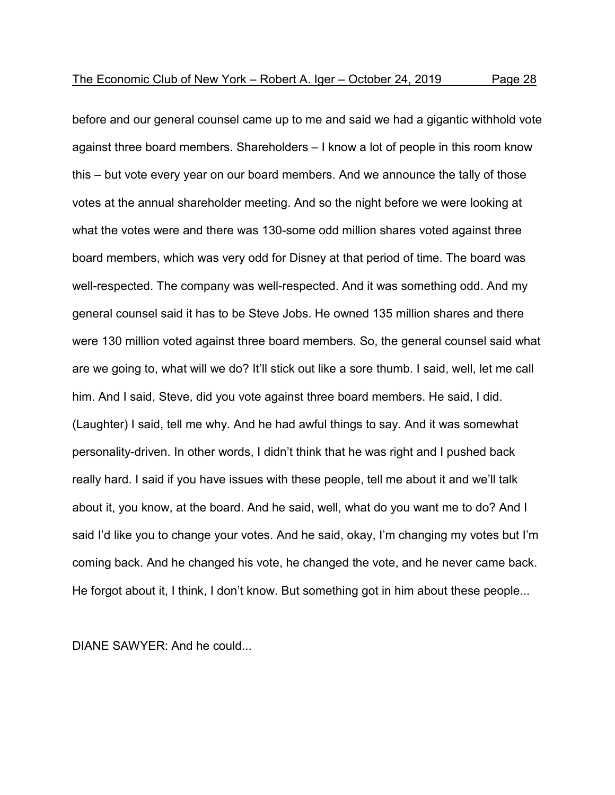before and our general counsel came up to me and said we had a gigantic withhold vote against three board members. Shareholders – I know a lot of people in this room know this – but vote every year on our board members. And we announce the tally of those votes at the annual shareholder meeting. And so the night before we were looking at what the votes were and there was 130-some odd million shares voted against three board members, which was very odd for Disney at that period of time. The board was well-respected. The company was well-respected. And it was something odd. And my general counsel said it has to be Steve Jobs. He owned 135 million shares and there were 130 million voted against three board members. So, the general counsel said what are we going to, what will we do? It'll stick out like a sore thumb. I said, well, let me call him. And I said, Steve, did you vote against three board members. He said, I did. (Laughter) I said, tell me why. And he had awful things to say. And it was somewhat personality-driven. In other words, I didn't think that he was right and I pushed back really hard. I said if you have issues with these people, tell me about it and we'll talk about it, you know, at the board. And he said, well, what do you want me to do? And I said I'd like you to change your votes. And he said, okay, I'm changing my votes but I'm coming back. And he changed his vote, he changed the vote, and he never came back. He forgot about it, I think, I don't know. But something got in him about these people...

DIANE SAWYER: And he could...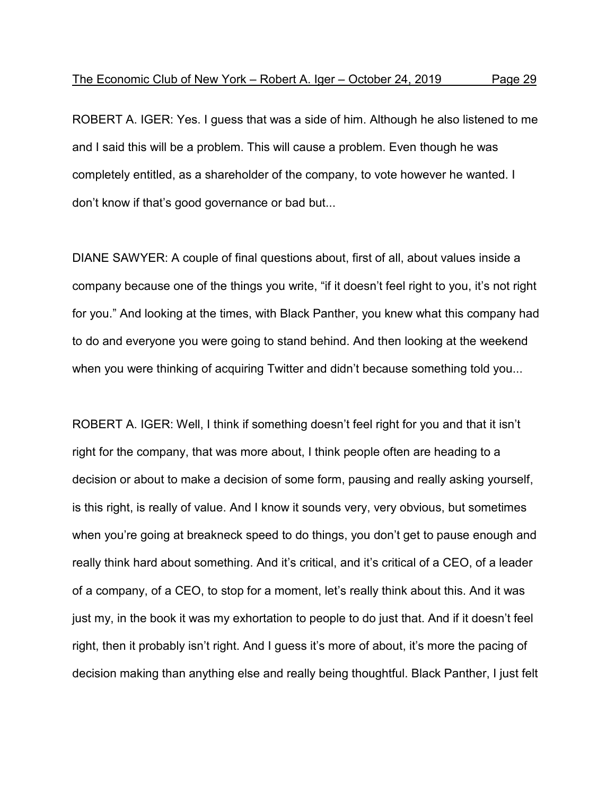ROBERT A. IGER: Yes. I guess that was a side of him. Although he also listened to me and I said this will be a problem. This will cause a problem. Even though he was completely entitled, as a shareholder of the company, to vote however he wanted. I don't know if that's good governance or bad but...

DIANE SAWYER: A couple of final questions about, first of all, about values inside a company because one of the things you write, "if it doesn't feel right to you, it's not right for you." And looking at the times, with Black Panther, you knew what this company had to do and everyone you were going to stand behind. And then looking at the weekend when you were thinking of acquiring Twitter and didn't because something told you...

ROBERT A. IGER: Well, I think if something doesn't feel right for you and that it isn't right for the company, that was more about, I think people often are heading to a decision or about to make a decision of some form, pausing and really asking yourself, is this right, is really of value. And I know it sounds very, very obvious, but sometimes when you're going at breakneck speed to do things, you don't get to pause enough and really think hard about something. And it's critical, and it's critical of a CEO, of a leader of a company, of a CEO, to stop for a moment, let's really think about this. And it was just my, in the book it was my exhortation to people to do just that. And if it doesn't feel right, then it probably isn't right. And I guess it's more of about, it's more the pacing of decision making than anything else and really being thoughtful. Black Panther, I just felt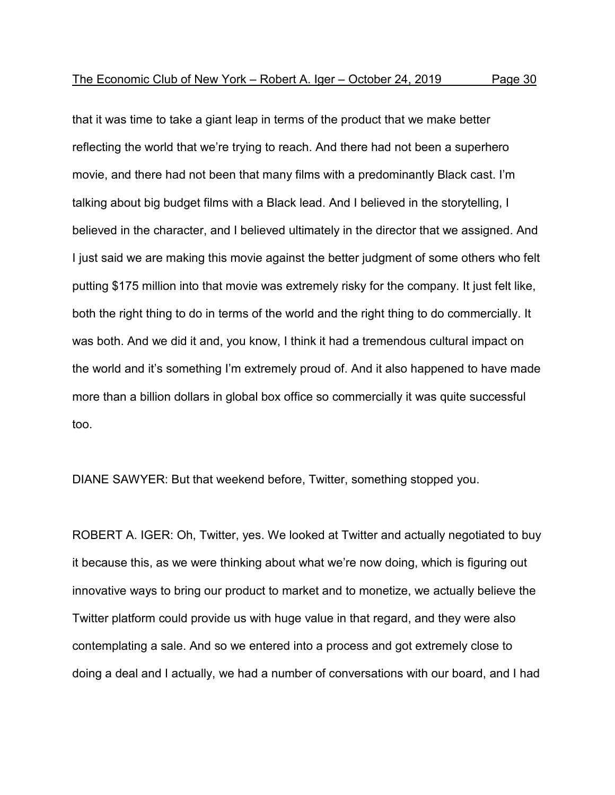that it was time to take a giant leap in terms of the product that we make better reflecting the world that we're trying to reach. And there had not been a superhero movie, and there had not been that many films with a predominantly Black cast. I'm talking about big budget films with a Black lead. And I believed in the storytelling, I believed in the character, and I believed ultimately in the director that we assigned. And I just said we are making this movie against the better judgment of some others who felt putting \$175 million into that movie was extremely risky for the company. It just felt like, both the right thing to do in terms of the world and the right thing to do commercially. It was both. And we did it and, you know, I think it had a tremendous cultural impact on the world and it's something I'm extremely proud of. And it also happened to have made more than a billion dollars in global box office so commercially it was quite successful too.

DIANE SAWYER: But that weekend before, Twitter, something stopped you.

ROBERT A. IGER: Oh, Twitter, yes. We looked at Twitter and actually negotiated to buy it because this, as we were thinking about what we're now doing, which is figuring out innovative ways to bring our product to market and to monetize, we actually believe the Twitter platform could provide us with huge value in that regard, and they were also contemplating a sale. And so we entered into a process and got extremely close to doing a deal and I actually, we had a number of conversations with our board, and I had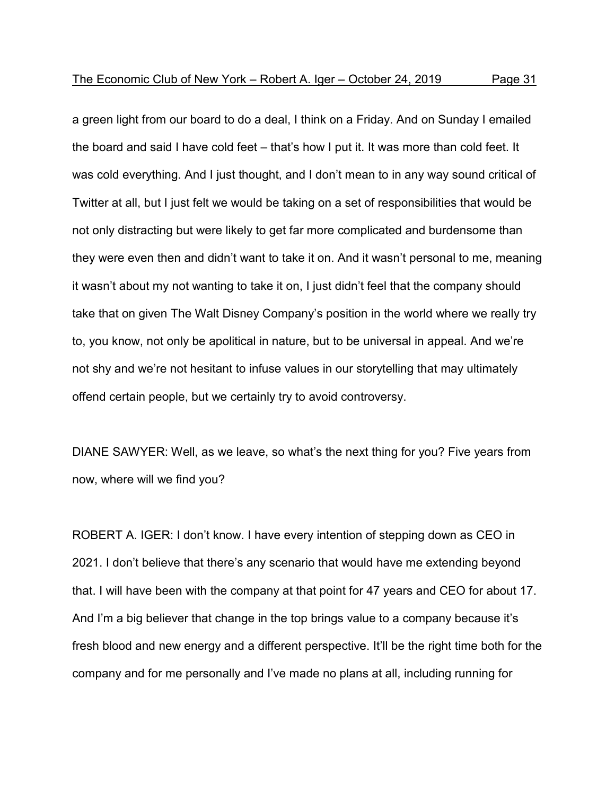a green light from our board to do a deal, I think on a Friday. And on Sunday I emailed the board and said I have cold feet – that's how I put it. It was more than cold feet. It was cold everything. And I just thought, and I don't mean to in any way sound critical of Twitter at all, but I just felt we would be taking on a set of responsibilities that would be not only distracting but were likely to get far more complicated and burdensome than they were even then and didn't want to take it on. And it wasn't personal to me, meaning it wasn't about my not wanting to take it on, I just didn't feel that the company should take that on given The Walt Disney Company's position in the world where we really try to, you know, not only be apolitical in nature, but to be universal in appeal. And we're not shy and we're not hesitant to infuse values in our storytelling that may ultimately offend certain people, but we certainly try to avoid controversy.

DIANE SAWYER: Well, as we leave, so what's the next thing for you? Five years from now, where will we find you?

ROBERT A. IGER: I don't know. I have every intention of stepping down as CEO in 2021. I don't believe that there's any scenario that would have me extending beyond that. I will have been with the company at that point for 47 years and CEO for about 17. And I'm a big believer that change in the top brings value to a company because it's fresh blood and new energy and a different perspective. It'll be the right time both for the company and for me personally and I've made no plans at all, including running for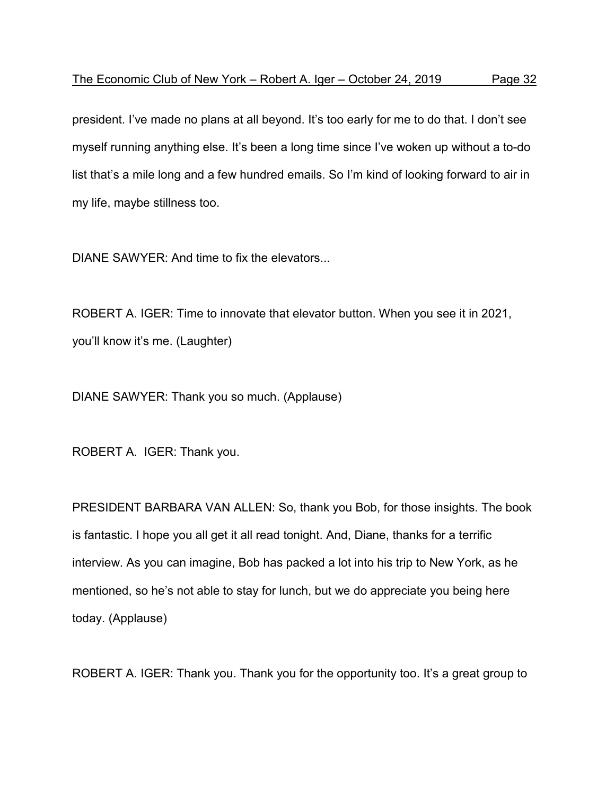president. I've made no plans at all beyond. It's too early for me to do that. I don't see myself running anything else. It's been a long time since I've woken up without a to-do list that's a mile long and a few hundred emails. So I'm kind of looking forward to air in my life, maybe stillness too.

DIANE SAWYER: And time to fix the elevators...

ROBERT A. IGER: Time to innovate that elevator button. When you see it in 2021, you'll know it's me. (Laughter)

DIANE SAWYER: Thank you so much. (Applause)

ROBERT A. IGER: Thank you.

PRESIDENT BARBARA VAN ALLEN: So, thank you Bob, for those insights. The book is fantastic. I hope you all get it all read tonight. And, Diane, thanks for a terrific interview. As you can imagine, Bob has packed a lot into his trip to New York, as he mentioned, so he's not able to stay for lunch, but we do appreciate you being here today. (Applause)

ROBERT A. IGER: Thank you. Thank you for the opportunity too. It's a great group to